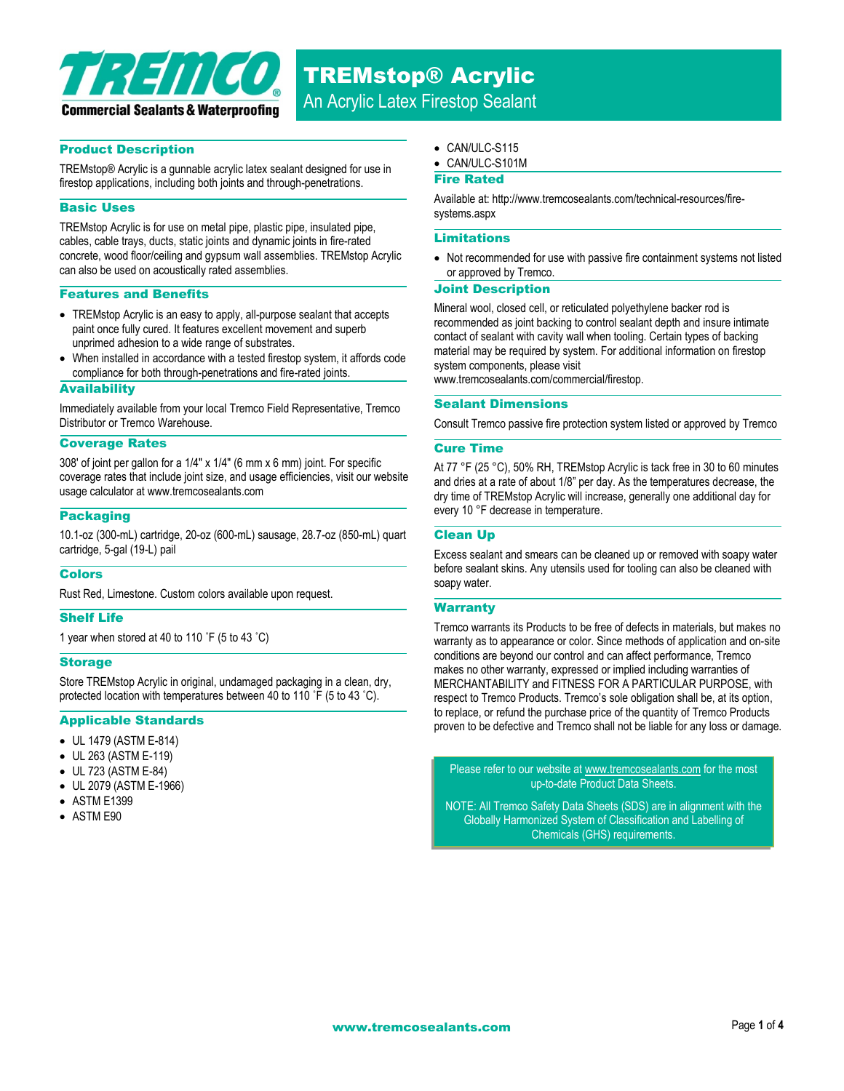

#### Product Description

TREMstop® Acrylic is a gunnable acrylic latex sealant designed for use in firestop applications, including both joints and through-penetrations.

#### Basic Uses

TREMstop Acrylic is for use on metal pipe, plastic pipe, insulated pipe, cables, cable trays, ducts, static joints and dynamic joints in fire-rated concrete, wood floor/ceiling and gypsum wall assemblies. TREMstop Acrylic can also be used on acoustically rated assemblies.

#### Features and Benefits

- TREMstop Acrylic is an easy to apply, all-purpose sealant that accepts paint once fully cured. It features excellent movement and superb unprimed adhesion to a wide range of substrates.
- When installed in accordance with a tested firestop system, it affords code compliance for both through-penetrations and fire-rated joints.

#### **Availability**

Immediately available from your local Tremco Field Representative, Tremco Distributor or Tremco Warehouse.

#### Coverage Rates

308' of joint per gallon for a 1/4" x 1/4" (6 mm x 6 mm) joint. For specific coverage rates that include joint size, and usage efficiencies, visit our website usage calculator at www.tremcosealants.com

#### Packaging

10.1-oz (300-mL) cartridge, 20-oz (600-mL) sausage, 28.7-oz (850-mL) quart cartridge, 5-gal (19-L) pail

#### **Colors**

Rust Red, Limestone. Custom colors available upon request.

#### Shelf Life

1 year when stored at 40 to 110 ˚F (5 to 43 ˚C)

#### **Storage**

Store TREMstop Acrylic in original, undamaged packaging in a clean, dry, protected location with temperatures between 40 to 110 ˚F (5 to 43 ˚C).

#### Applicable Standards

- UL 1479 (ASTM E-814)
- UL 263 (ASTM E-119)
- UL 723 (ASTM E-84)
- UL 2079 (ASTM E-1966)
- ASTM E1399
- ASTM E90
- CAN/ULC-S115
- CAN/ULC-S101M

#### Fire Rated

Available at: http://www.tremcosealants.com/technical-resources/firesystems.aspx

#### Limitations

• Not recommended for use with passive fire containment systems not listed or approved by Tremco.

#### Joint Description

Mineral wool, closed cell, or reticulated polyethylene backer rod is recommended as joint backing to control sealant depth and insure intimate contact of sealant with cavity wall when tooling. Certain types of backing material may be required by system. For additional information on firestop system components, please visit www.tremcosealants.com/commercial/firestop.

#### Sealant Dimensions

Consult Tremco passive fire protection system listed or approved by Tremco

#### Cure Time

At 77 °F (25 °C), 50% RH, TREMstop Acrylic is tack free in 30 to 60 minutes and dries at a rate of about 1/8" per day. As the temperatures decrease, the dry time of TREMstop Acrylic will increase, generally one additional day for every 10 °F decrease in temperature.

#### Clean Up

Excess sealant and smears can be cleaned up or removed with soapy water before sealant skins. Any utensils used for tooling can also be cleaned with soapy water.

#### **Warranty**

Tremco warrants its Products to be free of defects in materials, but makes no warranty as to appearance or color. Since methods of application and on-site conditions are beyond our control and can affect performance, Tremco makes no other warranty, expressed or implied including warranties of MERCHANTABILITY and FITNESS FOR A PARTICULAR PURPOSE, with respect to Tremco Products. Tremco's sole obligation shall be, at its option, to replace, or refund the purchase price of the quantity of Tremco Products proven to be defective and Tremco shall not be liable for any loss or damage.

Please refer to our website a[t www.tremcosealants.com](http://www.tremcosealants.com/) for the most up-to-date Product Data Sheets.

NOTE: All Tremco Safety Data Sheets (SDS) are in alignment with the Globally Harmonized System of Classification and Labelling of Chemicals (GHS) requirements.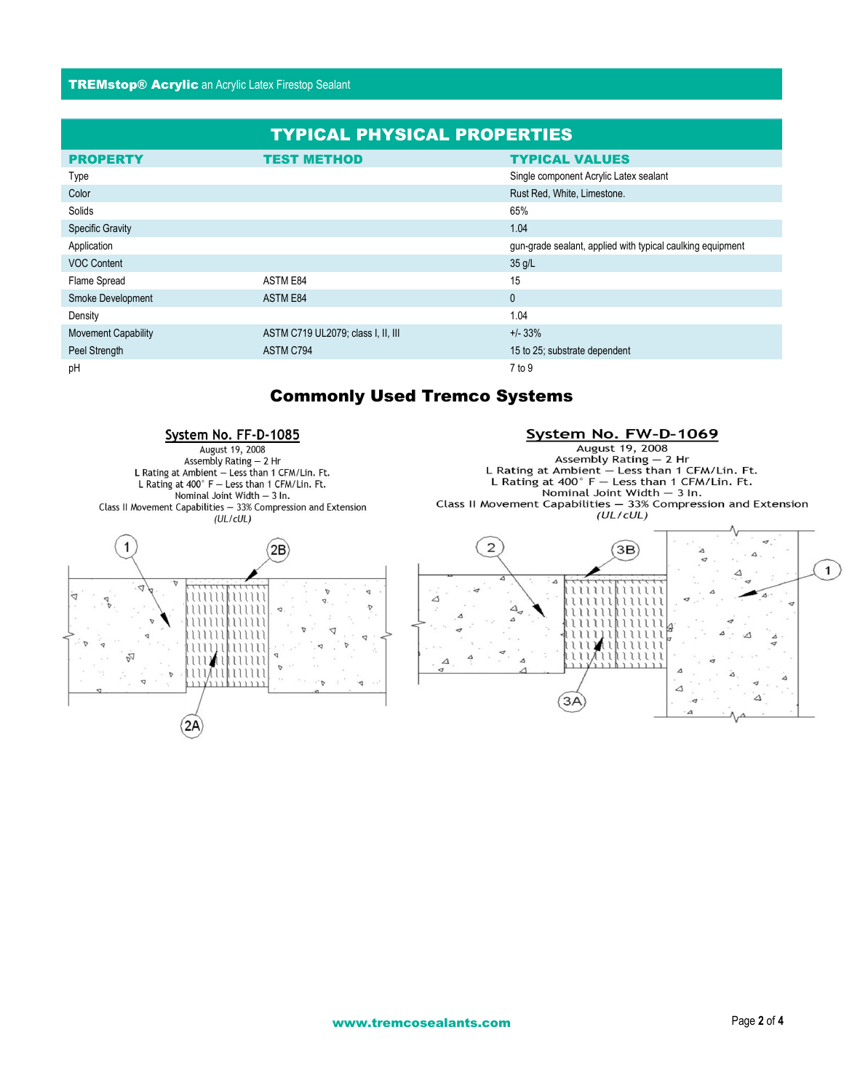#### TREMstop® Acrylic an Acrylic Latex Firestop Sealant

| <b>TYPICAL PHYSICAL PROPERTIES</b> |                                    |                                                            |
|------------------------------------|------------------------------------|------------------------------------------------------------|
| <b>PROPERTY</b>                    | <b>TEST METHOD</b>                 | <b>TYPICAL VALUES</b>                                      |
| Type                               |                                    | Single component Acrylic Latex sealant                     |
| Color                              |                                    | Rust Red, White, Limestone.                                |
| Solids                             |                                    | 65%                                                        |
| <b>Specific Gravity</b>            |                                    | 1.04                                                       |
| Application                        |                                    | gun-grade sealant, applied with typical caulking equipment |
| <b>VOC Content</b>                 |                                    | $35$ g/L                                                   |
| Flame Spread                       | ASTM E84                           | 15                                                         |
| Smoke Development                  | ASTM E84                           | $\mathbf{0}$                                               |
| Density                            |                                    | 1.04                                                       |
| <b>Movement Capability</b>         | ASTM C719 UL2079; class I, II, III | $+/- 33%$                                                  |
| Peel Strength                      | ASTM C794                          | 15 to 25; substrate dependent                              |
| pH                                 |                                    | 7 to 9                                                     |

## Commonly Used Tremco Systems

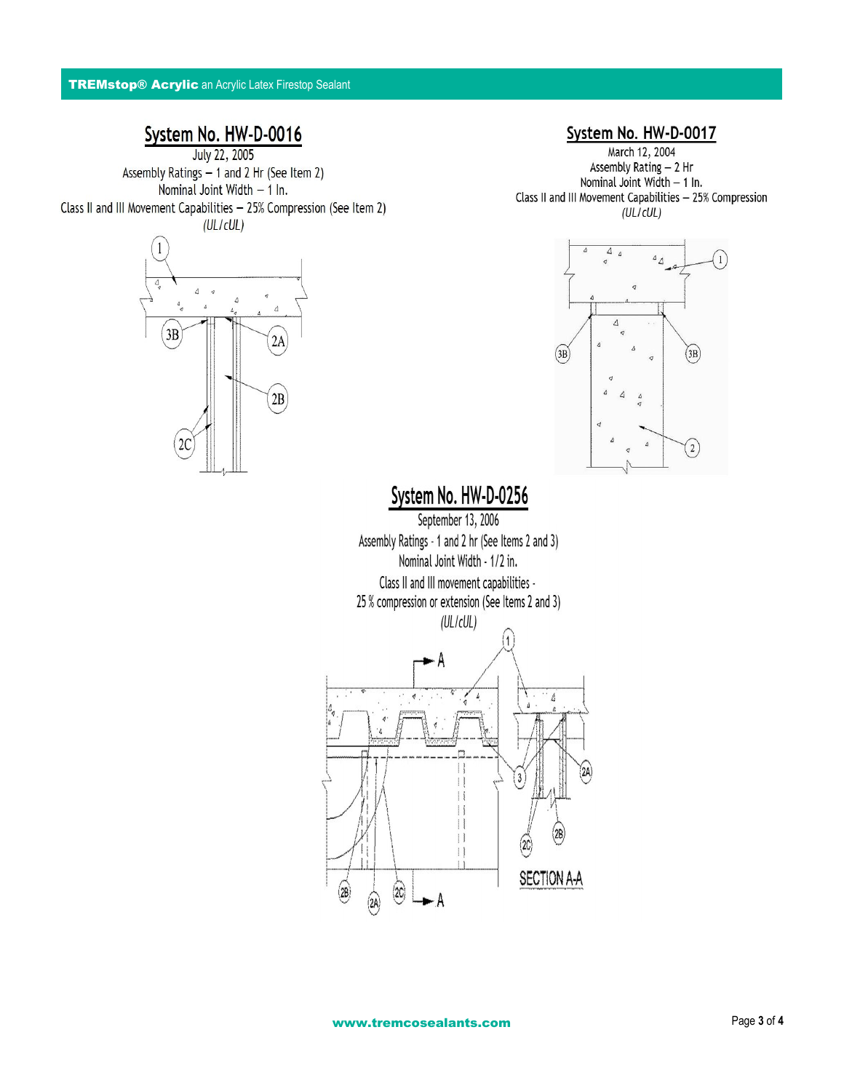# System No. HW-D-0016

Assembly Ratings - 1 and 2 Hr (See Item 2) Nominal Joint Width - 1 In. Class II and III Movement Capabilities - 25% Compression (See Item 2)  $(UL/cUL)$ 



### System No. HW-D-0017

March 12, 2004 Assembly Rating - 2 Hr Nominal Joint Width - 1 In. Class II and III Movement Capabilities - 25% Compression  $(UL/CUL)$ 



# System No. HW-D-0256

September 13, 2006 Assembly Ratings - 1 and 2 hr (See Items 2 and 3) Nominal Joint Width - 1/2 in. Class II and III movement capabilities -25 % compression or extension (See Items 2 and 3)